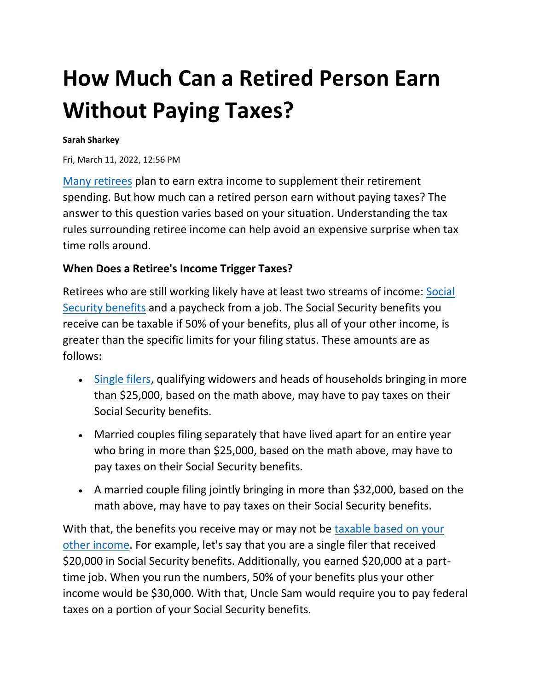# **How Much Can a Retired Person Earn Without Paying Taxes?**

#### **Sarah Sharkey**

Fri, March 11, 2022, 12:56 PM

[Many retirees](https://smartasset.com/retirement/retirement-calculator) plan to earn extra income to supplement their retirement spending. But how much can a retired person earn without paying taxes? The answer to this question varies based on your situation. Understanding the tax rules surrounding retiree income can help avoid an expensive surprise when tax time rolls around.

#### **When Does a Retiree's Income Trigger Taxes?**

Retirees who are still working likely have at least two streams of income: [Social](https://smartasset.com/retirement/what-is-social-security)  [Security benefits](https://smartasset.com/retirement/what-is-social-security) and a paycheck from a job. The Social Security benefits you receive can be taxable if 50% of your benefits, plus all of your other income, is greater than the specific limits for your filing status. These amounts are as follows:

- [Single filers,](https://smartasset.com/taxes/taxes-single-vs-married) qualifying widowers and heads of households bringing in more than \$25,000, based on the math above, may have to pay taxes on their Social Security benefits.
- Married couples filing separately that have lived apart for an entire year who bring in more than \$25,000, based on the math above, may have to pay taxes on their Social Security benefits.
- A married couple filing jointly bringing in more than \$32,000, based on the math above, may have to pay taxes on their Social Security benefits.

With that, the benefits you receive may or may not be taxable based on your [other income.](https://smartasset.com/taxes/what-is-taxable-income) For example, let's say that you are a single filer that received \$20,000 in Social Security benefits. Additionally, you earned \$20,000 at a parttime job. When you run the numbers, 50% of your benefits plus your other income would be \$30,000. With that, Uncle Sam would require you to pay federal taxes on a portion of your Social Security benefits.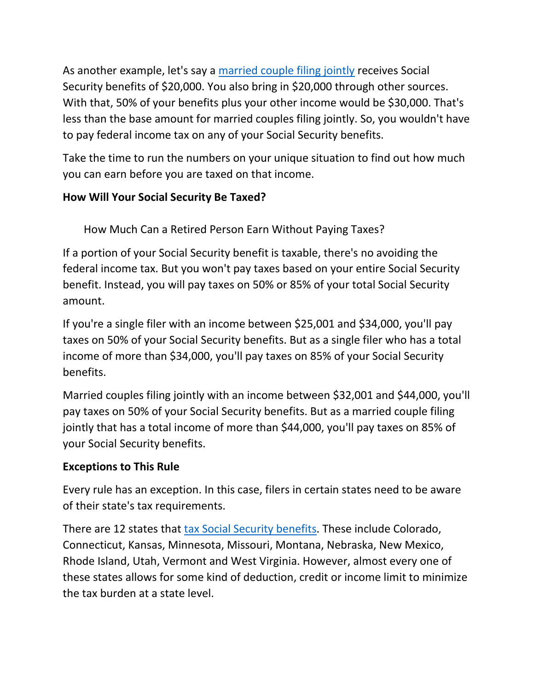As another example, let's say a [married couple filing jointly](https://smartasset.com/financial-advisor/tax-filing-status) receives Social Security benefits of \$20,000. You also bring in \$20,000 through other sources. With that, 50% of your benefits plus your other income would be \$30,000. That's less than the base amount for married couples filing jointly. So, you wouldn't have to pay federal income tax on any of your Social Security benefits.

Take the time to run the numbers on your unique situation to find out how much you can earn before you are taxed on that income.

# **How Will Your Social Security Be Taxed?**

How Much Can a Retired Person Earn Without Paying Taxes?

If a portion of your Social Security benefit is taxable, there's no avoiding the federal income tax. But you won't pay taxes based on your entire Social Security benefit. Instead, you will pay taxes on 50% or 85% of your total Social Security amount.

If you're a single filer with an income between \$25,001 and \$34,000, you'll pay taxes on 50% of your Social Security benefits. But as a single filer who has a total income of more than \$34,000, you'll pay taxes on 85% of your Social Security benefits.

Married couples filing jointly with an income between \$32,001 and \$44,000, you'll pay taxes on 50% of your Social Security benefits. But as a married couple filing jointly that has a total income of more than \$44,000, you'll pay taxes on 85% of your Social Security benefits.

### **Exceptions to This Rule**

Every rule has an exception. In this case, filers in certain states need to be aware of their state's tax requirements.

There are 12 states that [tax Social Security benefits.](https://smartasset.com/retirement/is-social-security-income-taxable) These include Colorado, Connecticut, Kansas, Minnesota, Missouri, Montana, Nebraska, New Mexico, Rhode Island, Utah, Vermont and West Virginia. However, almost every one of these states allows for some kind of deduction, credit or income limit to minimize the tax burden at a state level.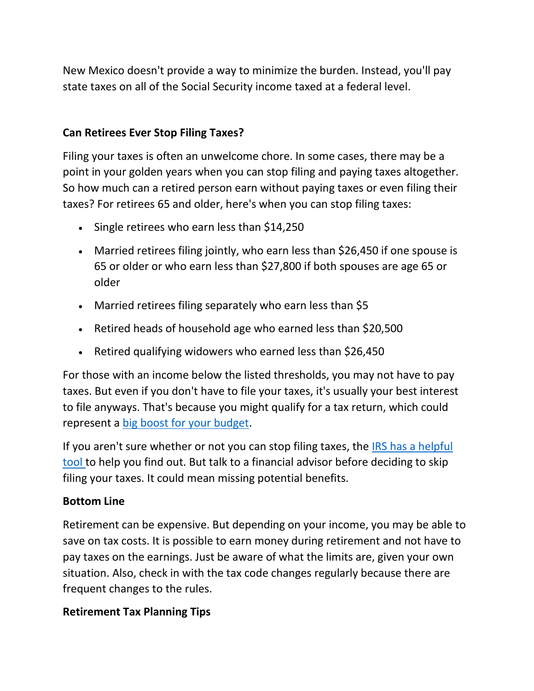New Mexico doesn't provide a way to minimize the burden. Instead, you'll pay state taxes on all of the Social Security income taxed at a federal level.

## **Can Retirees Ever Stop Filing Taxes?**

Filing your taxes is often an unwelcome chore. In some cases, there may be a point in your golden years when you can stop filing and paying taxes altogether. So how much can a retired person earn without paying taxes or even filing their taxes? For retirees 65 and older, here's when you can stop filing taxes:

- Single retirees who earn less than \$14,250
- Married retirees filing jointly, who earn less than \$26,450 if one spouse is 65 or older or who earn less than \$27,800 if both spouses are age 65 or older
- Married retirees filing separately who earn less than \$5
- Retired heads of household age who earned less than \$20,500
- Retired qualifying widowers who earned less than \$26,450

For those with an income below the listed thresholds, you may not have to pay taxes. But even if you don't have to file your taxes, it's usually your best interest to file anyways. That's because you might qualify for a tax return, which could represent a [big boost for your budget.](https://smartasset.com/mortgage/budget-calculator)

If you aren't sure whether or not you can stop filing taxes, the [IRS has a helpful](https://www.irs.gov/help/ita/do-i-need-to-file-a-tax-return)  [tool](https://www.irs.gov/help/ita/do-i-need-to-file-a-tax-return) to help you find out. But talk to a financial advisor before deciding to skip filing your taxes. It could mean missing potential benefits.

### **Bottom Line**

Retirement can be expensive. But depending on your income, you may be able to save on tax costs. It is possible to earn money during retirement and not have to pay taxes on the earnings. Just be aware of what the limits are, given your own situation. Also, check in with the tax code changes regularly because there are frequent changes to the rules.

### **Retirement Tax Planning Tips**